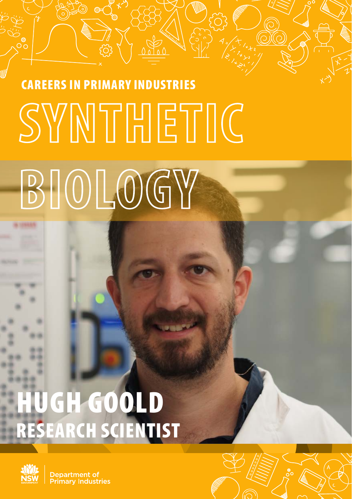# CAREERS IN PRIMARY INDUSTRIES<br>
SYNNTHETIC

# **BIOLOGY**

### HUGH GOOLD RESEARCH SCIENTIST



Department of **Primary Industries**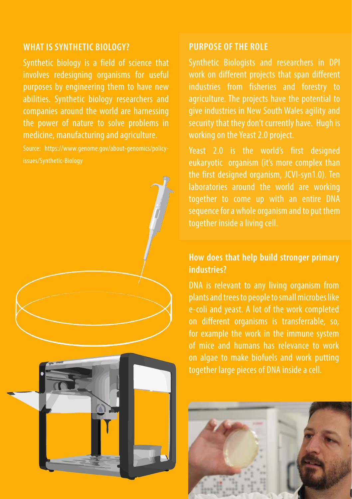#### **WHAT IS SYNTHETIC BIOLOGY?**

Synthetic biology is a field of science that involves redesigning organisms for useful purposes by engineering them to have new abilities. Synthetic biology researchers and companies around the world are harnessing the power of nature to solve problems in medicine, manufacturing and agriculture.

Source: https://www.genome.gov/about-genomics/policyissues/Synthetic-Biology



#### **PURPOSE OF THE ROLE**

Synthetic Biologists and researchers in DPI work on different projects that span different industries from fisheries and forestry to agriculture. The projects have the potential to give industries in New South Wales agility and security that they don't currently have. Hugh is working on the Yeast 2.0 project.

Yeast 2.0 is the world's first designed eukaryotic organism (it's more complex than the first designed organism, JCVI-syn1.0). Ten laboratories around the world are working together to come up with an entire DNA sequence for a whole organism and to put them together inside a living cell.

#### **How does that help build stronger primary industries?**

DNA is relevant to any living organism from plants and trees to people to small microbes like e-coli and yeast. A lot of the work completed on different organisms is transferrable, so, for example the work in the immune system of mice and humans has relevance to work on algae to make biofuels and work putting together large pieces of DNA inside a cell.

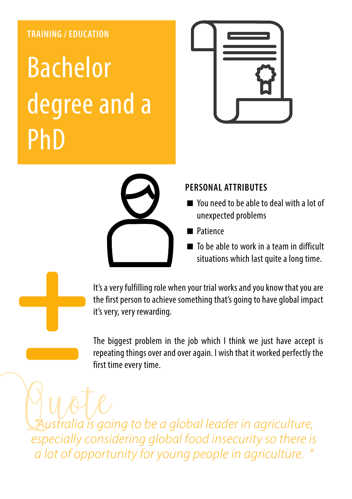#### **TRAINING / EDUCATION**

### Bachelor degree and a PhD





#### **PERSONAL ATTRIBUTES**

- You need to be able to deal with a lot of unexpected problems
- **Patience**
- To be able to work in a team in difficult situations which last quite a long time.

It's a very fulfilling role when your trial works and you know that you are the first person to achieve something that's going to have global impact it's very, very rewarding.

The biggest problem in the job which I think we just have accept is repeating things over and over again. I wish that it worked perfectly the first time every time.

*"Australia is going to be a global leader in agriculture, especially considering global food insecurity so there is a lot of opportunity for young people in agriculture. "*